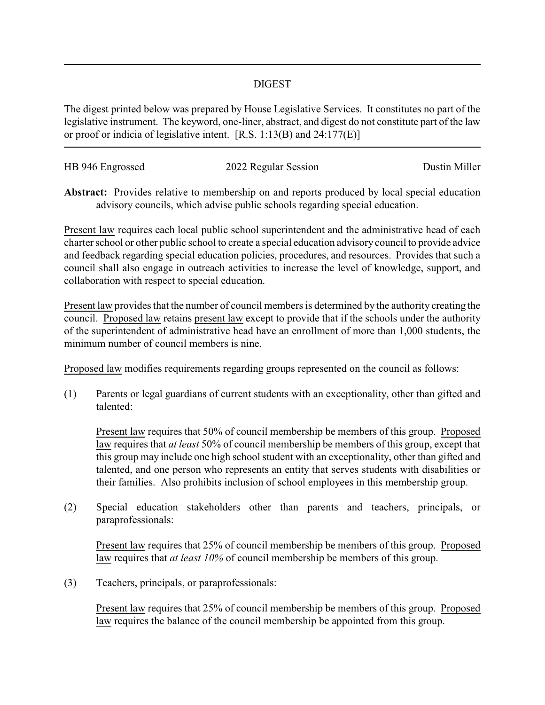## DIGEST

The digest printed below was prepared by House Legislative Services. It constitutes no part of the legislative instrument. The keyword, one-liner, abstract, and digest do not constitute part of the law or proof or indicia of legislative intent. [R.S. 1:13(B) and 24:177(E)]

| HB 946 Engrossed | 2022 Regular Session | Dustin Miller |
|------------------|----------------------|---------------|
|                  |                      |               |

**Abstract:** Provides relative to membership on and reports produced by local special education advisory councils, which advise public schools regarding special education.

Present law requires each local public school superintendent and the administrative head of each charter school or other public school to create a special education advisory council to provide advice and feedback regarding special education policies, procedures, and resources. Provides that such a council shall also engage in outreach activities to increase the level of knowledge, support, and collaboration with respect to special education.

Present law provides that the number of council members is determined by the authority creating the council. Proposed law retains present law except to provide that if the schools under the authority of the superintendent of administrative head have an enrollment of more than 1,000 students, the minimum number of council members is nine.

Proposed law modifies requirements regarding groups represented on the council as follows:

(1) Parents or legal guardians of current students with an exceptionality, other than gifted and talented:

Present law requires that 50% of council membership be members of this group. Proposed law requires that *at least* 50% of council membership be members of this group, except that this group may include one high school student with an exceptionality, other than gifted and talented, and one person who represents an entity that serves students with disabilities or their families. Also prohibits inclusion of school employees in this membership group.

(2) Special education stakeholders other than parents and teachers, principals, or paraprofessionals:

Present law requires that 25% of council membership be members of this group. Proposed law requires that *at least 10%* of council membership be members of this group.

(3) Teachers, principals, or paraprofessionals:

Present law requires that 25% of council membership be members of this group. Proposed law requires the balance of the council membership be appointed from this group.